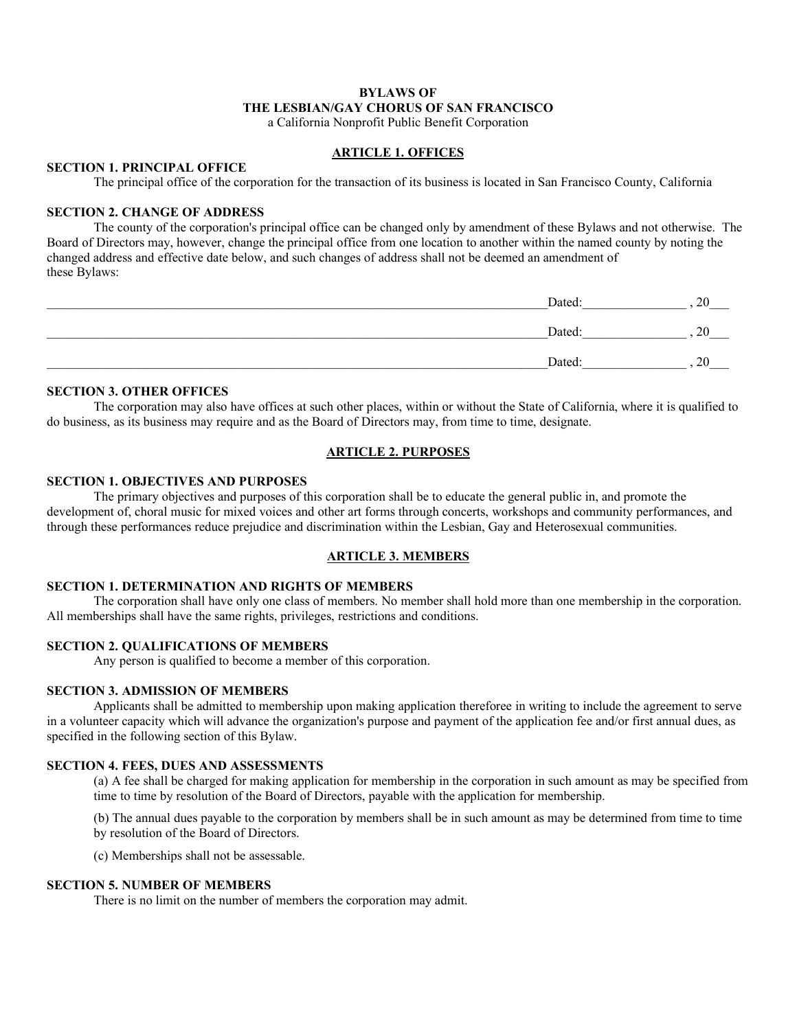# **BYLAWS OF THE LESBIAN/GAY CHORUS OF SAN FRANCISCO**

a California Nonprofit Public Benefit Corporation

### **ARTICLE 1. OFFICES**

### **SECTION 1. PRINCIPAL OFFICE**

The principal office of the corporation for the transaction of its business is located in San Francisco County, California

#### **SECTION 2. CHANGE OF ADDRESS**

The county of the corporation's principal office can be changed only by amendment of these Bylaws and not otherwise. The Board of Directors may, however, change the principal office from one location to another within the named county by noting the changed address and effective date below, and such changes of address shall not be deemed an amendment of these Bylaws:

| Dated: | ້  |
|--------|----|
| Dated: | ້  |
| Dated: | ∠∪ |

#### **SECTION 3. OTHER OFFICES**

The corporation may also have offices at such other places, within or without the State of California, where it is qualified to do business, as its business may require and as the Board of Directors may, from time to time, designate.

# **ARTICLE 2. PURPOSES**

### **SECTION 1. OBJECTIVES AND PURPOSES**

The primary objectives and purposes of this corporation shall be to educate the general public in, and promote the development of, choral music for mixed voices and other art forms through concerts, workshops and community performances, and through these performances reduce prejudice and discrimination within the Lesbian, Gay and Heterosexual communities.

## **ARTICLE 3. MEMBERS**

# **SECTION 1. DETERMINATION AND RIGHTS OF MEMBERS**

The corporation shall have only one class of members. No member shall hold more than one membership in the corporation. All memberships shall have the same rights, privileges, restrictions and conditions.

### **SECTION 2. QUALIFICATIONS OF MEMBERS**

Any person is qualified to become a member of this corporation.

#### **SECTION 3. ADMISSION OF MEMBERS**

Applicants shall be admitted to membership upon making application thereforee in writing to include the agreement to serve in a volunteer capacity which will advance the organization's purpose and payment of the application fee and/or first annual dues, as specified in the following section of this Bylaw.

### **SECTION 4. FEES, DUES AND ASSESSMENTS**

(a) A fee shall be charged for making application for membership in the corporation in such amount as may be specified from time to time by resolution of the Board of Directors, payable with the application for membership.

(b) The annual dues payable to the corporation by members shall be in such amount as may be determined from time to time by resolution of the Board of Directors.

(c) Memberships shall not be assessable.

### **SECTION 5. NUMBER OF MEMBERS**

There is no limit on the number of members the corporation may admit.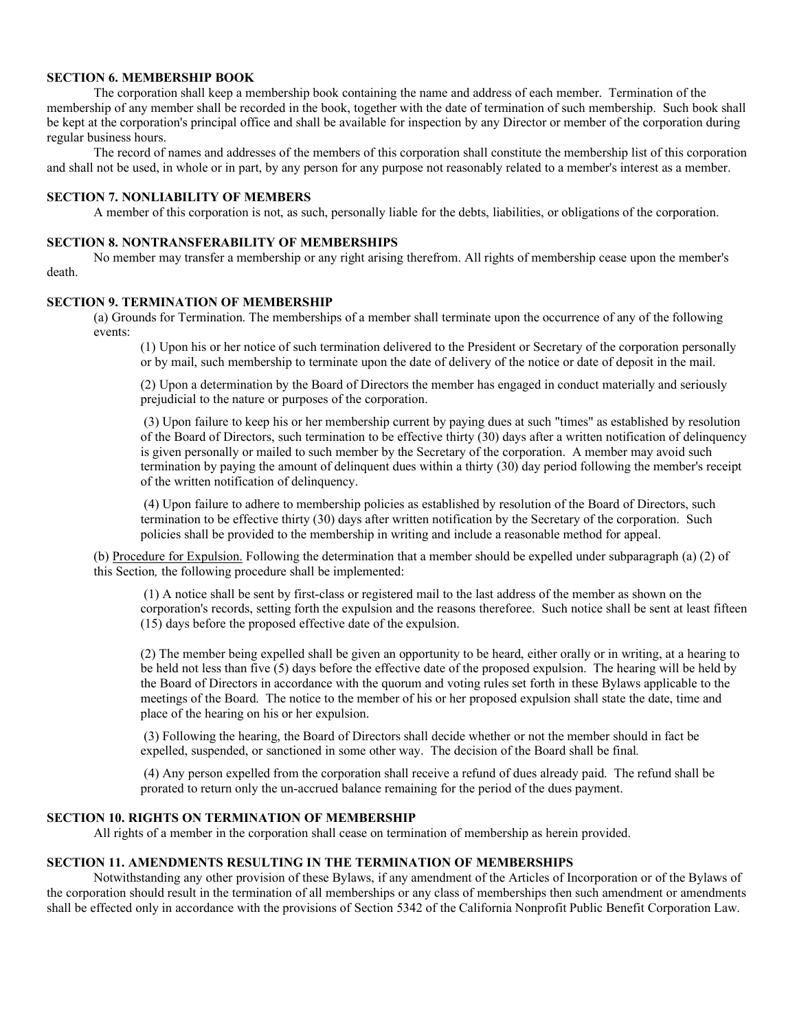#### **SECTION 6. MEMBERSHIP BOOK**

The corporation shall keep a membership book containing the name and address of each member. Termination of the membership of any member shall be recorded in the book, together with the date of termination of such membership. Such book shall be kept at the corporation's principal office and shall be available for inspection by any Director or member of the corporation during regular business hours.

The record of names and addresses of the members of this corporation shall constitute the membership list of this corporation and shall not be used, in whole or in part, by any person for any purpose not reasonably related to a member's interest as a member.

### **SECTION 7. NONLIABILITY OF MEMBERS**

A member of this corporation is not, as such, personally liable for the debts, liabilities, or obligations of the corporation.

## **SECTION 8. NONTRANSFERABILITY OF MEMBERSHIPS**

No member may transfer a membership or any right arising therefrom. All rights of membership cease upon the member's death.

#### **SECTION 9. TERMINATION OF MEMBERSHIP**

(a) Grounds for Termination. The memberships of a member shall terminate upon the occurrence of any of the following events:

(1) Upon his or her notice of such termination delivered to the President or Secretary of the corporation personally or by mail, such membership to terminate upon the date of delivery of the notice or date of deposit in the mail.

(2) Upon a determination by the Board of Directors the member has engaged in conduct materially and seriously prejudicial to the nature or purposes of the corporation.

(3) Upon failure to keep his or her membership current by paying dues at such "times" as established by resolution of the Board of Directors, such termination to be effective thirty (30) days after a written notification of delinquency is given personally or mailed to such member by the Secretary of the corporation. A member may avoid such termination by paying the amount of delinquent dues within a thirty (30) day period following the member's receipt of the written notification of delinquency.

(4) Upon failure to adhere to membership policies as established by resolution of the Board of Directors, such termination to be effective thirty (30) days after written notification by the Secretary of the corporation. Such policies shall be provided to the membership in writing and include a reasonable method for appeal.

(b) Procedure for Expulsion. Following the determination that a member should be expelled under subparagraph (a) (2) of this Section*,* the following procedure shall be implemented:

(1) A notice shall be sent by first-class or registered mail to the last address of the member as shown on the corporation's records, setting forth the expulsion and the reasons thereforee. Such notice shall be sent at least fifteen (15) days before the proposed effective date of the expulsion.

(2) The member being expelled shall be given an opportunity to be heard, either orally or in writing, at a hearing to be held not less than five (5) days before the effective date of the proposed expulsion. The hearing will be held by the Board of Directors in accordance with the quorum and voting rules set forth in these Bylaws applicable to the meetings of the Board. The notice to the member of his or her proposed expulsion shall state the date, time and place of the hearing on his or her expulsion.

(3) Following the hearing, the Board of Directors shall decide whether or not the member should in fact be expelled, suspended, or sanctioned in some other way. The decision of the Board shall be final*.*

(4) Any person expelled from the corporation shall receive a refund of dues already paid. The refund shall be prorated to return only the un-accrued balance remaining for the period of the dues payment.

### **SECTION 10. RIGHTS ON TERMINATION OF MEMBERSHIP**

All rights of a member in the corporation shall cease on termination of membership as herein provided.

#### **SECTION 11. AMENDMENTS RESULTING IN THE TERMINATION OF MEMBERSHIPS**

Notwithstanding any other provision of these Bylaws, if any amendment of the Articles of Incorporation or of the Bylaws of the corporation should result in the termination of all memberships or any class of memberships then such amendment or amendments shall be effected only in accordance with the provisions of Section 5342 of the California Nonprofit Public Benefit Corporation Law.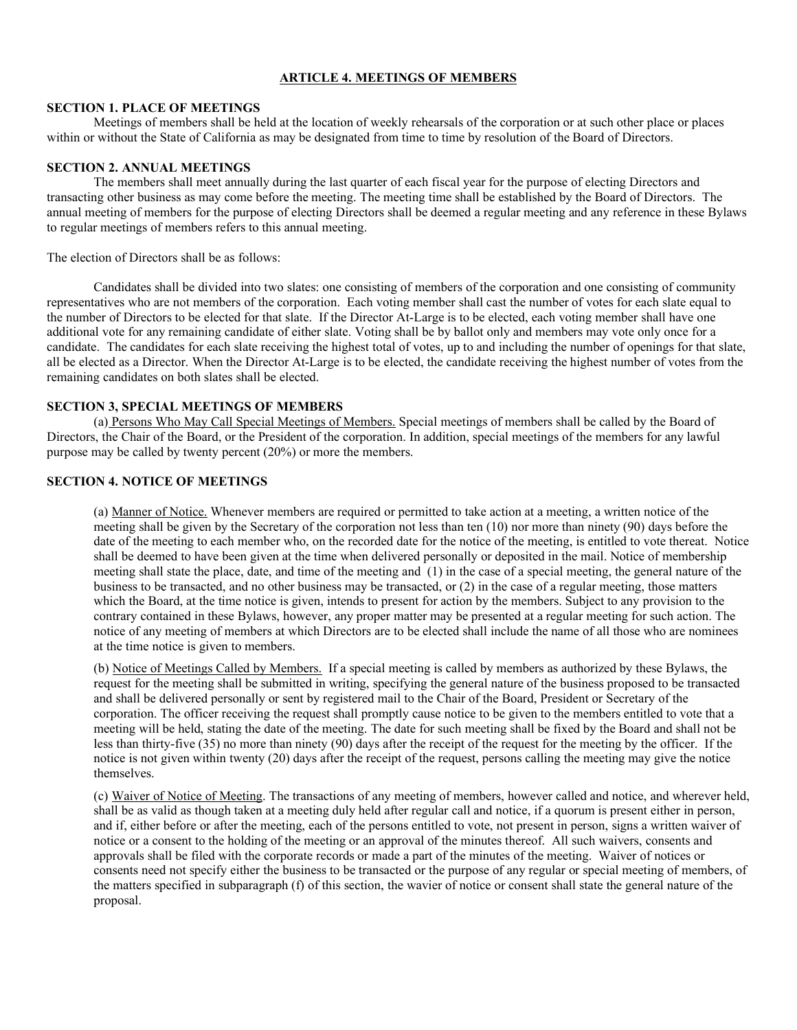# **ARTICLE 4. MEETINGS OF MEMBERS**

### **SECTION 1. PLACE OF MEETINGS**

Meetings of members shall be held at the location of weekly rehearsals of the corporation or at such other place or places within or without the State of California as may be designated from time to time by resolution of the Board of Directors.

### **SECTION 2. ANNUAL MEETINGS**

The members shall meet annually during the last quarter of each fiscal year for the purpose of electing Directors and transacting other business as may come before the meeting. The meeting time shall be established by the Board of Directors. The annual meeting of members for the purpose of electing Directors shall be deemed a regular meeting and any reference in these Bylaws to regular meetings of members refers to this annual meeting.

#### The election of Directors shall be as follows:

Candidates shall be divided into two slates: one consisting of members of the corporation and one consisting of community representatives who are not members of the corporation. Each voting member shall cast the number of votes for each slate equal to the number of Directors to be elected for that slate. If the Director At-Large is to be elected, each voting member shall have one additional vote for any remaining candidate of either slate. Voting shall be by ballot only and members may vote only once for a candidate. The candidates for each slate receiving the highest total of votes, up to and including the number of openings for that slate, all be elected as a Director. When the Director At-Large is to be elected, the candidate receiving the highest number of votes from the remaining candidates on both slates shall be elected.

# **SECTION 3, SPECIAL MEETINGS OF MEMBERS**

(a) Persons Who May Call Special Meetings of Members. Special meetings of members shall be called by the Board of Directors, the Chair of the Board, or the President of the corporation. In addition, special meetings of the members for any lawful purpose may be called by twenty percent (20%) or more the members.

### **SECTION 4. NOTICE OF MEETINGS**

(a) Manner of Notice. Whenever members are required or permitted to take action at a meeting, a written notice of the meeting shall be given by the Secretary of the corporation not less than ten (10) nor more than ninety (90) days before the date of the meeting to each member who, on the recorded date for the notice of the meeting, is entitled to vote thereat. Notice shall be deemed to have been given at the time when delivered personally or deposited in the mail. Notice of membership meeting shall state the place, date, and time of the meeting and (1) in the case of a special meeting, the general nature of the business to be transacted, and no other business may be transacted, or (2) in the case of a regular meeting, those matters which the Board, at the time notice is given, intends to present for action by the members. Subject to any provision to the contrary contained in these Bylaws, however, any proper matter may be presented at a regular meeting for such action. The notice of any meeting of members at which Directors are to be elected shall include the name of all those who are nominees at the time notice is given to members.

(b) Notice of Meetings Called by Members. If a special meeting is called by members as authorized by these Bylaws, the request for the meeting shall be submitted in writing, specifying the general nature of the business proposed to be transacted and shall be delivered personally or sent by registered mail to the Chair of the Board, President or Secretary of the corporation. The officer receiving the request shall promptly cause notice to be given to the members entitled to vote that a meeting will be held, stating the date of the meeting. The date for such meeting shall be fixed by the Board and shall not be less than thirty-five (35) no more than ninety (90) days after the receipt of the request for the meeting by the officer. If the notice is not given within twenty (20) days after the receipt of the request, persons calling the meeting may give the notice themselves.

(c) Waiver of Notice of Meeting. The transactions of any meeting of members, however called and notice, and wherever held, shall be as valid as though taken at a meeting duly held after regular call and notice, if a quorum is present either in person, and if, either before or after the meeting, each of the persons entitled to vote, not present in person, signs a written waiver of notice or a consent to the holding of the meeting or an approval of the minutes thereof. All such waivers, consents and approvals shall be filed with the corporate records or made a part of the minutes of the meeting. Waiver of notices or consents need not specify either the business to be transacted or the purpose of any regular or special meeting of members, of the matters specified in subparagraph (f) of this section, the wavier of notice or consent shall state the general nature of the proposal.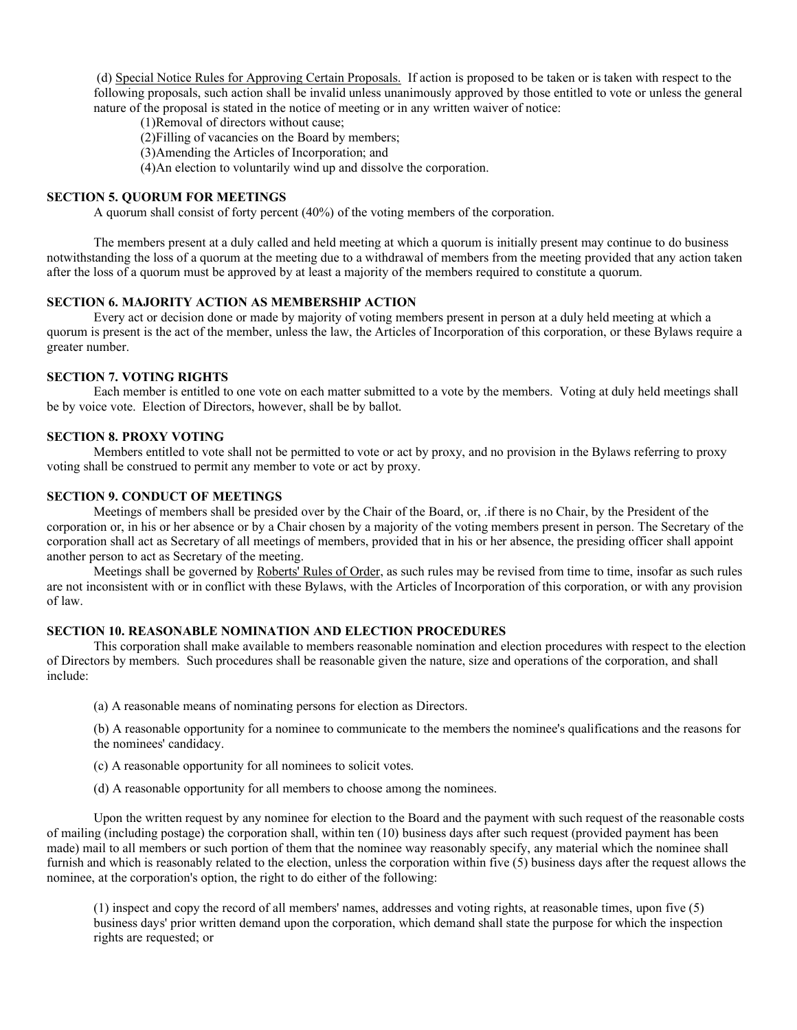(d) Special Notice Rules for Approving Certain Proposals. If action is proposed to be taken or is taken with respect to the following proposals, such action shall be invalid unless unanimously approved by those entitled to vote or unless the general nature of the proposal is stated in the notice of meeting or in any written waiver of notice:

(1)Removal of directors without cause;

(2)Filling of vacancies on the Board by members;

(3)Amending the Articles of Incorporation; and

(4)An election to voluntarily wind up and dissolve the corporation.

### **SECTION 5. QUORUM FOR MEETINGS**

A quorum shall consist of forty percent (40%) of the voting members of the corporation.

The members present at a duly called and held meeting at which a quorum is initially present may continue to do business notwithstanding the loss of a quorum at the meeting due to a withdrawal of members from the meeting provided that any action taken after the loss of a quorum must be approved by at least a majority of the members required to constitute a quorum.

### **SECTION 6. MAJORITY ACTION AS MEMBERSHIP ACTION**

Every act or decision done or made by majority of voting members present in person at a duly held meeting at which a quorum is present is the act of the member, unless the law, the Articles of Incorporation of this corporation, or these Bylaws require a greater number.

#### **SECTION 7. VOTING RIGHTS**

Each member is entitled to one vote on each matter submitted to a vote by the members. Voting at duly held meetings shall be by voice vote. Election of Directors, however, shall be by ballot.

#### **SECTION 8. PROXY VOTING**

Members entitled to vote shall not be permitted to vote or act by proxy, and no provision in the Bylaws referring to proxy voting shall be construed to permit any member to vote or act by proxy.

### **SECTION 9. CONDUCT OF MEETINGS**

Meetings of members shall be presided over by the Chair of the Board, or, .if there is no Chair, by the President of the corporation or, in his or her absence or by a Chair chosen by a majority of the voting members present in person. The Secretary of the corporation shall act as Secretary of all meetings of members, provided that in his or her absence, the presiding officer shall appoint another person to act as Secretary of the meeting.

Meetings shall be governed by Roberts' Rules of Order, as such rules may be revised from time to time, insofar as such rules are not inconsistent with or in conflict with these Bylaws, with the Articles of Incorporation of this corporation, or with any provision of law.

### **SECTION 10. REASONABLE NOMINATION AND ELECTION PROCEDURES**

This corporation shall make available to members reasonable nomination and election procedures with respect to the election of Directors by members. Such procedures shall be reasonable given the nature, size and operations of the corporation, and shall include:

(a) A reasonable means of nominating persons for election as Directors.

(b) A reasonable opportunity for a nominee to communicate to the members the nominee's qualifications and the reasons for the nominees' candidacy.

(c) A reasonable opportunity for all nominees to solicit votes.

(d) A reasonable opportunity for all members to choose among the nominees.

Upon the written request by any nominee for election to the Board and the payment with such request of the reasonable costs of mailing (including postage) the corporation shall, within ten (10) business days after such request (provided payment has been made) mail to all members or such portion of them that the nominee way reasonably specify, any material which the nominee shall furnish and which is reasonably related to the election, unless the corporation within five (5) business days after the request allows the nominee, at the corporation's option, the right to do either of the following:

(1) inspect and copy the record of all members' names, addresses and voting rights, at reasonable times, upon five (5) business days' prior written demand upon the corporation, which demand shall state the purpose for which the inspection rights are requested; or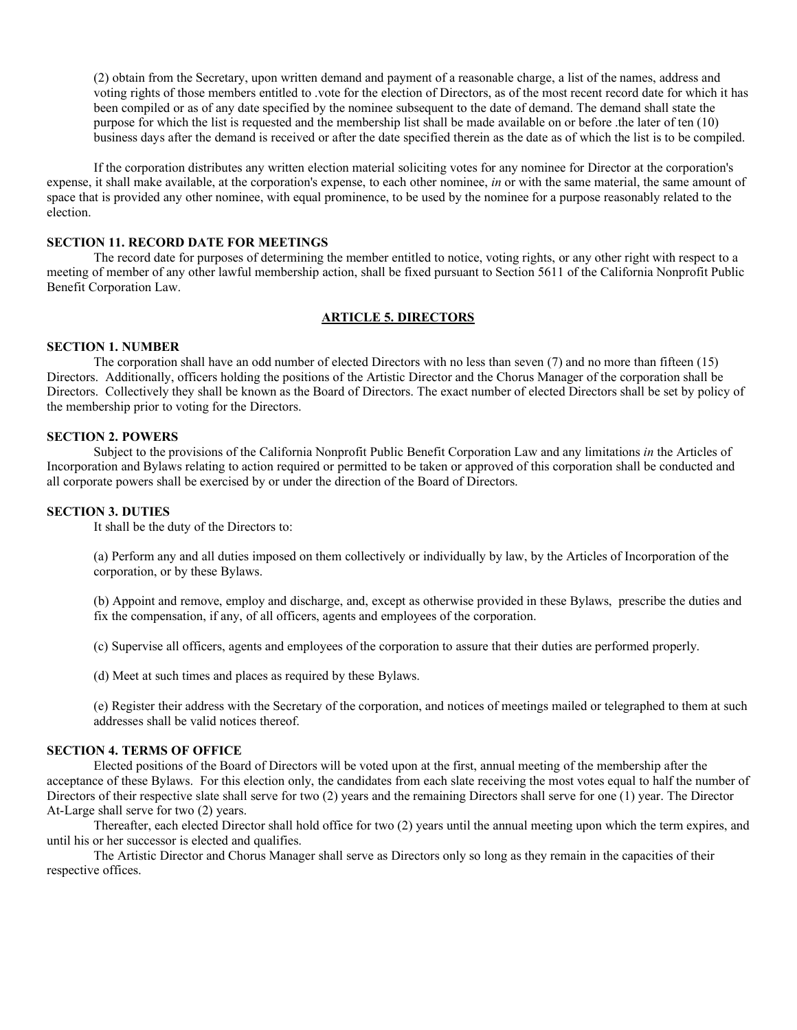(2) obtain from the Secretary, upon written demand and payment of a reasonable charge, a list of the names, address and voting rights of those members entitled to .vote for the election of Directors, as of the most recent record date for which it has been compiled or as of any date specified by the nominee subsequent to the date of demand. The demand shall state the purpose for which the list is requested and the membership list shall be made available on or before .the later of ten (10) business days after the demand is received or after the date specified therein as the date as of which the list is to be compiled.

If the corporation distributes any written election material soliciting votes for any nominee for Director at the corporation's expense, it shall make available, at the corporation's expense, to each other nominee, *in* or with the same material, the same amount of space that is provided any other nominee, with equal prominence, to be used by the nominee for a purpose reasonably related to the election.

#### **SECTION 11. RECORD DATE FOR MEETINGS**

The record date for purposes of determining the member entitled to notice, voting rights, or any other right with respect to a meeting of member of any other lawful membership action, shall be fixed pursuant to Section 5611 of the California Nonprofit Public Benefit Corporation Law.

#### **ARTICLE 5. DIRECTORS**

#### **SECTION 1. NUMBER**

The corporation shall have an odd number of elected Directors with no less than seven (7) and no more than fifteen (15) Directors. Additionally, officers holding the positions of the Artistic Director and the Chorus Manager of the corporation shall be Directors. Collectively they shall be known as the Board of Directors. The exact number of elected Directors shall be set by policy of the membership prior to voting for the Directors.

### **SECTION 2. POWERS**

Subject to the provisions of the California Nonprofit Public Benefit Corporation Law and any limitations *in* the Articles of Incorporation and Bylaws relating to action required or permitted to be taken or approved of this corporation shall be conducted and all corporate powers shall be exercised by or under the direction of the Board of Directors.

#### **SECTION 3. DUTIES**

It shall be the duty of the Directors to:

(a) Perform any and all duties imposed on them collectively or individually by law, by the Articles of Incorporation of the corporation, or by these Bylaws.

(b) Appoint and remove, employ and discharge, and, except as otherwise provided in these Bylaws, prescribe the duties and fix the compensation, if any, of all officers, agents and employees of the corporation.

(c) Supervise all officers, agents and employees of the corporation to assure that their duties are performed properly.

(d) Meet at such times and places as required by these Bylaws.

(e) Register their address with the Secretary of the corporation, and notices of meetings mailed or telegraphed to them at such addresses shall be valid notices thereof.

## **SECTION 4. TERMS OF OFFICE**

Elected positions of the Board of Directors will be voted upon at the first, annual meeting of the membership after the acceptance of these Bylaws. For this election only, the candidates from each slate receiving the most votes equal to half the number of Directors of their respective slate shall serve for two (2) years and the remaining Directors shall serve for one (1) year. The Director At-Large shall serve for two (2) years.

Thereafter, each elected Director shall hold office for two (2) years until the annual meeting upon which the term expires, and until his or her successor is elected and qualifies.

The Artistic Director and Chorus Manager shall serve as Directors only so long as they remain in the capacities of their respective offices.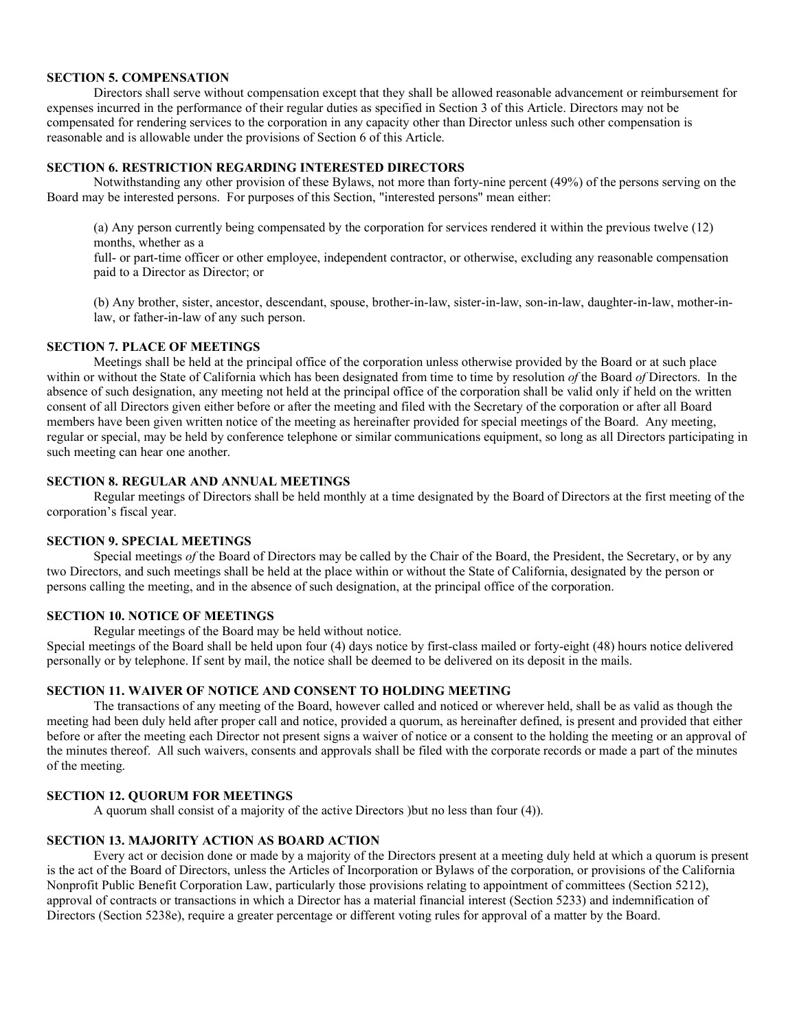#### **SECTION 5. COMPENSATION**

Directors shall serve without compensation except that they shall be allowed reasonable advancement or reimbursement for expenses incurred in the performance of their regular duties as specified in Section 3 of this Article. Directors may not be compensated for rendering services to the corporation in any capacity other than Director unless such other compensation is reasonable and is allowable under the provisions of Section 6 of this Article.

### **SECTION 6. RESTRICTION REGARDING INTERESTED DIRECTORS**

Notwithstanding any other provision of these Bylaws, not more than forty-nine percent (49%) of the persons serving on the Board may be interested persons. For purposes of this Section, "interested persons" mean either:

(a) Any person currently being compensated by the corporation for services rendered it within the previous twelve (12) months, whether as a

full- or part-time officer or other employee, independent contractor, or otherwise, excluding any reasonable compensation paid to a Director as Director; or

(b) Any brother, sister, ancestor, descendant, spouse, brother-in-law, sister-in-law, son-in-law, daughter-in-law, mother-inlaw, or father-in-law of any such person.

### **SECTION 7. PLACE OF MEETINGS**

Meetings shall be held at the principal office of the corporation unless otherwise provided by the Board or at such place within or without the State of California which has been designated from time to time by resolution *of* the Board *of* Directors. In the absence of such designation, any meeting not held at the principal office of the corporation shall be valid only if held on the written consent of all Directors given either before or after the meeting and filed with the Secretary of the corporation or after all Board members have been given written notice of the meeting as hereinafter provided for special meetings of the Board. Any meeting, regular or special, may be held by conference telephone or similar communications equipment, so long as all Directors participating in such meeting can hear one another.

### **SECTION 8. REGULAR AND ANNUAL MEETINGS**

Regular meetings of Directors shall be held monthly at a time designated by the Board of Directors at the first meeting of the corporation's fiscal year.

#### **SECTION 9. SPECIAL MEETINGS**

Special meetings *of* the Board of Directors may be called by the Chair of the Board, the President, the Secretary, or by any two Directors, and such meetings shall be held at the place within or without the State of California, designated by the person or persons calling the meeting, and in the absence of such designation, at the principal office of the corporation.

### **SECTION 10. NOTICE OF MEETINGS**

Regular meetings of the Board may be held without notice.

Special meetings of the Board shall be held upon four (4) days notice by first-class mailed or forty-eight (48) hours notice delivered personally or by telephone. If sent by mail, the notice shall be deemed to be delivered on its deposit in the mails.

#### **SECTION 11. WAIVER OF NOTICE AND CONSENT TO HOLDING MEETING**

The transactions of any meeting of the Board, however called and noticed or wherever held, shall be as valid as though the meeting had been duly held after proper call and notice, provided a quorum, as hereinafter defined, is present and provided that either before or after the meeting each Director not present signs a waiver of notice or a consent to the holding the meeting or an approval of the minutes thereof. All such waivers, consents and approvals shall be filed with the corporate records or made a part of the minutes of the meeting.

#### **SECTION 12. QUORUM FOR MEETINGS**

A quorum shall consist of a majority of the active Directors )but no less than four (4)).

### **SECTION 13. MAJORITY ACTION AS BOARD ACTION**

Every act or decision done or made by a majority of the Directors present at a meeting duly held at which a quorum is present is the act of the Board of Directors, unless the Articles of Incorporation or Bylaws of the corporation, or provisions of the California Nonprofit Public Benefit Corporation Law, particularly those provisions relating to appointment of committees (Section 5212), approval of contracts or transactions in which a Director has a material financial interest (Section 5233) and indemnification of Directors (Section 5238e), require a greater percentage or different voting rules for approval of a matter by the Board.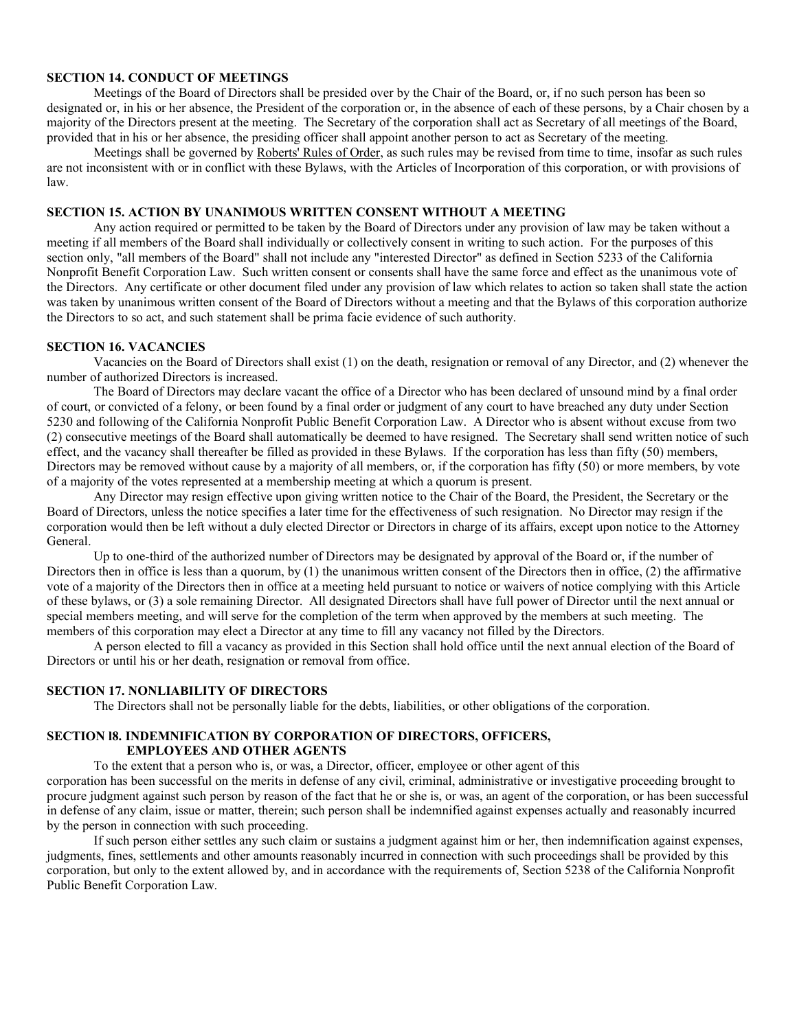#### **SECTION 14. CONDUCT OF MEETINGS**

Meetings of the Board of Directors shall be presided over by the Chair of the Board, or, if no such person has been so designated or, in his or her absence, the President of the corporation or, in the absence of each of these persons, by a Chair chosen by a majority of the Directors present at the meeting. The Secretary of the corporation shall act as Secretary of all meetings of the Board, provided that in his or her absence, the presiding officer shall appoint another person to act as Secretary of the meeting.

Meetings shall be governed by Roberts' Rules of Order, as such rules may be revised from time to time, insofar as such rules are not inconsistent with or in conflict with these Bylaws, with the Articles of Incorporation of this corporation, or with provisions of law.

## **SECTION 15. ACTION BY UNANIMOUS WRITTEN CONSENT WITHOUT A MEETING**

Any action required or permitted to be taken by the Board of Directors under any provision of law may be taken without a meeting if all members of the Board shall individually or collectively consent in writing to such action. For the purposes of this section only, "all members of the Board" shall not include any "interested Director" as defined in Section 5233 of the California Nonprofit Benefit Corporation Law. Such written consent or consents shall have the same force and effect as the unanimous vote of the Directors. Any certificate or other document filed under any provision of law which relates to action so taken shall state the action was taken by unanimous written consent of the Board of Directors without a meeting and that the Bylaws of this corporation authorize the Directors to so act, and such statement shall be prima facie evidence of such authority.

#### **SECTION 16. VACANCIES**

Vacancies on the Board of Directors shall exist (1) on the death, resignation or removal of any Director, and (2) whenever the number of authorized Directors is increased.

The Board of Directors may declare vacant the office of a Director who has been declared of unsound mind by a final order of court, or convicted of a felony, or been found by a final order or judgment of any court to have breached any duty under Section 5230 and following of the California Nonprofit Public Benefit Corporation Law. A Director who is absent without excuse from two (2) consecutive meetings of the Board shall automatically be deemed to have resigned. The Secretary shall send written notice of such effect, and the vacancy shall thereafter be filled as provided in these Bylaws. If the corporation has less than fifty (50) members, Directors may be removed without cause by a majority of all members, or, if the corporation has fifty (50) or more members, by vote of a majority of the votes represented at a membership meeting at which a quorum is present.

Any Director may resign effective upon giving written notice to the Chair of the Board, the President, the Secretary or the Board of Directors, unless the notice specifies a later time for the effectiveness of such resignation. No Director may resign if the corporation would then be left without a duly elected Director or Directors in charge of its affairs, except upon notice to the Attorney General.

Up to one-third of the authorized number of Directors may be designated by approval of the Board or, if the number of Directors then in office is less than a quorum, by (1) the unanimous written consent of the Directors then in office, (2) the affirmative vote of a majority of the Directors then in office at a meeting held pursuant to notice or waivers of notice complying with this Article of these bylaws, or (3) a sole remaining Director. All designated Directors shall have full power of Director until the next annual or special members meeting, and will serve for the completion of the term when approved by the members at such meeting. The members of this corporation may elect a Director at any time to fill any vacancy not filled by the Directors.

A person elected to fill a vacancy as provided in this Section shall hold office until the next annual election of the Board of Directors or until his or her death, resignation or removal from office.

#### **SECTION 17. NONLIABILITY OF DIRECTORS**

The Directors shall not be personally liable for the debts, liabilities, or other obligations of the corporation.

### **SECTION l8. INDEMNIFICATION BY CORPORATION OF DIRECTORS, OFFICERS, EMPLOYEES AND OTHER AGENTS**

To the extent that a person who is, or was, a Director, officer, employee or other agent of this corporation has been successful on the merits in defense of any civil, criminal, administrative or investigative proceeding brought to

procure judgment against such person by reason of the fact that he or she is, or was, an agent of the corporation, or has been successful in defense of any claim, issue or matter, therein; such person shall be indemnified against expenses actually and reasonably incurred by the person in connection with such proceeding.

If such person either settles any such claim or sustains a judgment against him or her, then indemnification against expenses, judgments, fines, settlements and other amounts reasonably incurred in connection with such proceedings shall be provided by this corporation, but only to the extent allowed by, and in accordance with the requirements of, Section 5238 of the California Nonprofit Public Benefit Corporation Law.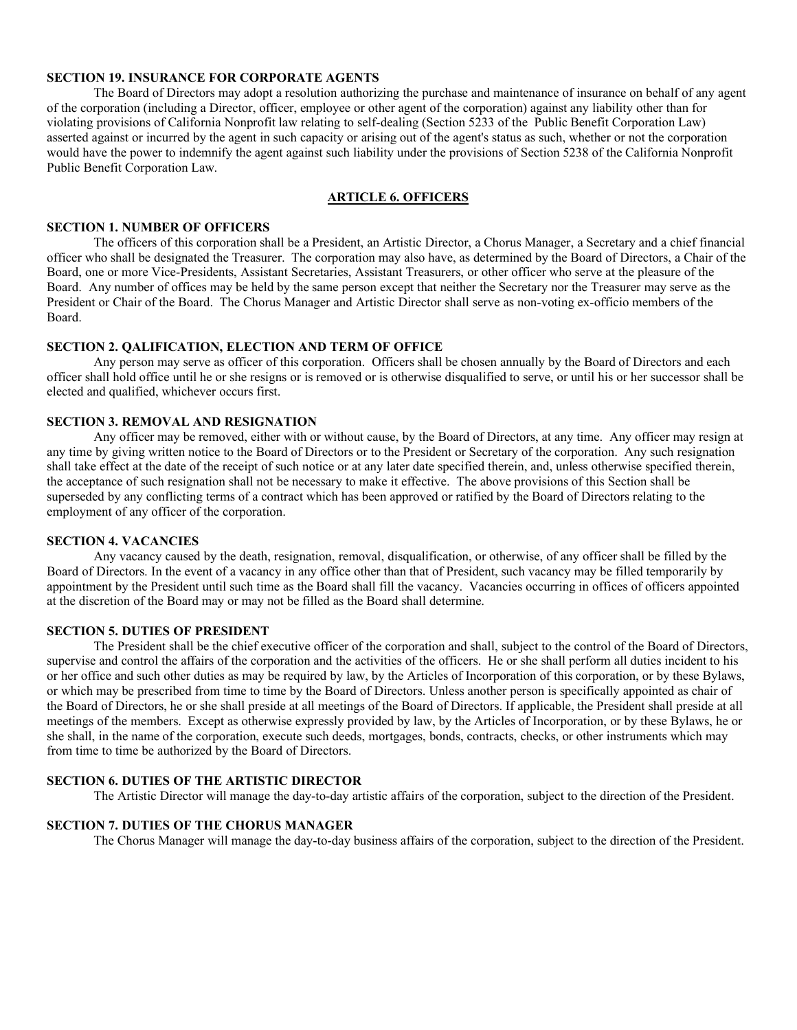## **SECTION 19. INSURANCE FOR CORPORATE AGENTS**

The Board of Directors may adopt a resolution authorizing the purchase and maintenance of insurance on behalf of any agent of the corporation (including a Director, officer, employee or other agent of the corporation) against any liability other than for violating provisions of California Nonprofit law relating to self-dealing (Section 5233 of the Public Benefit Corporation Law) asserted against or incurred by the agent in such capacity or arising out of the agent's status as such, whether or not the corporation would have the power to indemnify the agent against such liability under the provisions of Section 5238 of the California Nonprofit Public Benefit Corporation Law.

## **ARTICLE 6. OFFICERS**

#### **SECTION 1. NUMBER OF OFFICERS**

The officers of this corporation shall be a President, an Artistic Director, a Chorus Manager, a Secretary and a chief financial officer who shall be designated the Treasurer. The corporation may also have, as determined by the Board of Directors, a Chair of the Board, one or more Vice-Presidents, Assistant Secretaries, Assistant Treasurers, or other officer who serve at the pleasure of the Board. Any number of offices may be held by the same person except that neither the Secretary nor the Treasurer may serve as the President or Chair of the Board. The Chorus Manager and Artistic Director shall serve as non-voting ex-officio members of the Board.

#### **SECTION 2. QALIFICATION, ELECTION AND TERM OF OFFICE**

Any person may serve as officer of this corporation. Officers shall be chosen annually by the Board of Directors and each officer shall hold office until he or she resigns or is removed or is otherwise disqualified to serve, or until his or her successor shall be elected and qualified, whichever occurs first.

### **SECTION 3. REMOVAL AND RESIGNATION**

Any officer may be removed, either with or without cause, by the Board of Directors, at any time. Any officer may resign at any time by giving written notice to the Board of Directors or to the President or Secretary of the corporation. Any such resignation shall take effect at the date of the receipt of such notice or at any later date specified therein, and, unless otherwise specified therein, the acceptance of such resignation shall not be necessary to make it effective. The above provisions of this Section shall be superseded by any conflicting terms of a contract which has been approved or ratified by the Board of Directors relating to the employment of any officer of the corporation.

#### **SECTION 4. VACANCIES**

Any vacancy caused by the death, resignation, removal, disqualification, or otherwise, of any officer shall be filled by the Board of Directors. In the event of a vacancy in any office other than that of President, such vacancy may be filled temporarily by appointment by the President until such time as the Board shall fill the vacancy. Vacancies occurring in offices of officers appointed at the discretion of the Board may or may not be filled as the Board shall determine.

### **SECTION 5. DUTIES OF PRESIDENT**

The President shall be the chief executive officer of the corporation and shall, subject to the control of the Board of Directors, supervise and control the affairs of the corporation and the activities of the officers. He or she shall perform all duties incident to his or her office and such other duties as may be required by law, by the Articles of Incorporation of this corporation, or by these Bylaws, or which may be prescribed from time to time by the Board of Directors. Unless another person is specifically appointed as chair of the Board of Directors, he or she shall preside at all meetings of the Board of Directors. If applicable, the President shall preside at all meetings of the members. Except as otherwise expressly provided by law, by the Articles of Incorporation, or by these Bylaws, he or she shall, in the name of the corporation, execute such deeds, mortgages, bonds, contracts, checks, or other instruments which may from time to time be authorized by the Board of Directors.

## **SECTION 6. DUTIES OF THE ARTISTIC DIRECTOR**

The Artistic Director will manage the day-to-day artistic affairs of the corporation, subject to the direction of the President.

## **SECTION 7. DUTIES OF THE CHORUS MANAGER**

The Chorus Manager will manage the day-to-day business affairs of the corporation, subject to the direction of the President.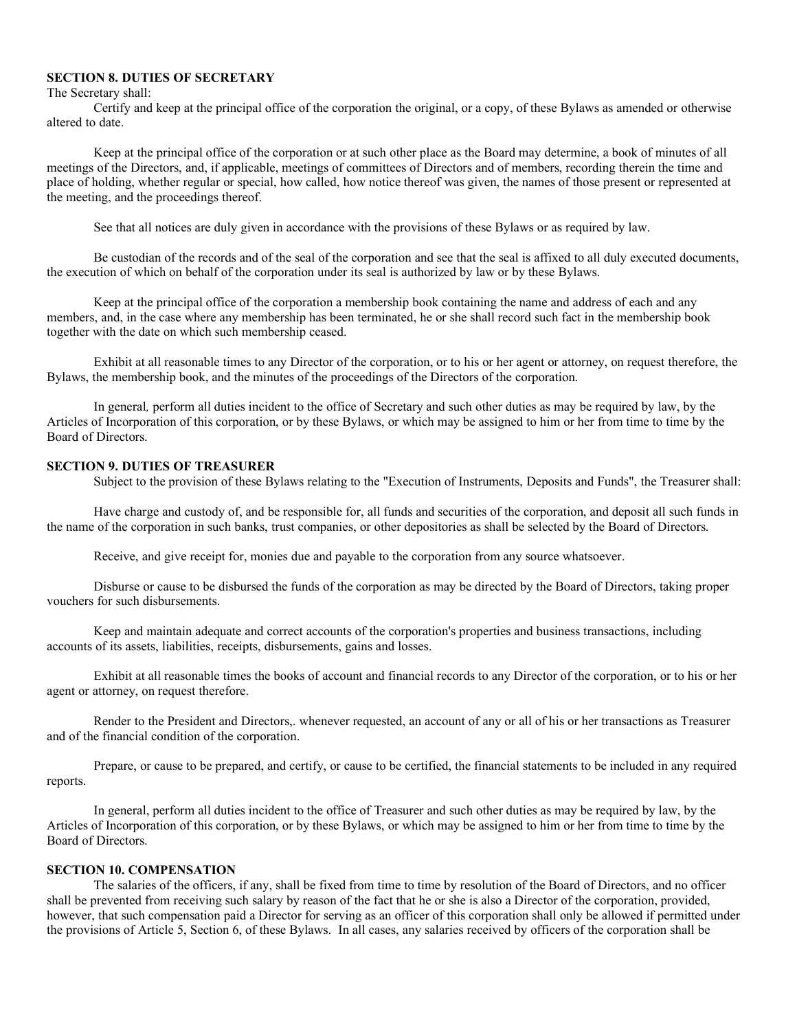#### **SECTION 8. DUTIES OF SECRETARY**

The Secretary shall:

Certify and keep at the principal office of the corporation the original, or a copy, of these Bylaws as amended or otherwise altered to date.

Keep at the principal office of the corporation or at such other place as the Board may determine, a book of minutes of all meetings of the Directors, and, if applicable, meetings of committees of Directors and of members, recording therein the time and place of holding, whether regular or special, how called, how notice thereof was given, the names of those present or represented at the meeting, and the proceedings thereof.

See that all notices are duly given in accordance with the provisions of these Bylaws or as required by law.

Be custodian of the records and of the seal of the corporation and see that the seal is affixed to all duly executed documents, the execution of which on behalf of the corporation under its seal is authorized by law or by these Bylaws.

Keep at the principal office of the corporation a membership book containing the name and address of each and any members, and, in the case where any membership has been terminated, he or she shall record such fact in the membership book together with the date on which such membership ceased.

Exhibit at all reasonable times to any Director of the corporation, or to his or her agent or attorney, on request therefore, the Bylaws, the membership book, and the minutes of the proceedings of the Directors of the corporation.

In general*,* perform all duties incident to the office of Secretary and such other duties as may be required by law, by the Articles of Incorporation of this corporation, or by these Bylaws, or which may be assigned to him or her from time to time by the Board of Directors.

#### **SECTION 9. DUTIES OF TREASURER**

Subject to the provision of these Bylaws relating to the "Execution of Instruments, Deposits and Funds", the Treasurer shall:

Have charge and custody of, and be responsible for, all funds and securities of the corporation, and deposit all such funds in the name of the corporation in such banks, trust companies, or other depositories as shall be selected by the Board of Directors.

Receive, and give receipt for, monies due and payable to the corporation from any source whatsoever.

Disburse or cause to be disbursed the funds of the corporation as may be directed by the Board of Directors, taking proper vouchers for such disbursements.

Keep and maintain adequate and correct accounts of the corporation's properties and business transactions, including accounts of its assets, liabilities, receipts, disbursements, gains and losses.

Exhibit at all reasonable times the books of account and financial records to any Director of the corporation, or to his or her agent or attorney, on request therefore.

Render to the President and Directors,. whenever requested, an account of any or all of his or her transactions as Treasurer and of the financial condition of the corporation.

Prepare, or cause to be prepared, and certify, or cause to be certified, the financial statements to be included in any required reports.

In general, perform all duties incident to the office of Treasurer and such other duties as may be required by law, by the Articles of Incorporation of this corporation, or by these Bylaws, or which may be assigned to him or her from time to time by the Board of Directors.

#### **SECTION 10. COMPENSATION**

The salaries of the officers, if any, shall be fixed from time to time by resolution of the Board of Directors, and no officer shall be prevented from receiving such salary by reason of the fact that he or she is also a Director of the corporation, provided, however, that such compensation paid a Director for serving as an officer of this corporation shall only be allowed if permitted under the provisions of Article 5, Section 6, of these Bylaws. In all cases, any salaries received by officers of the corporation shall be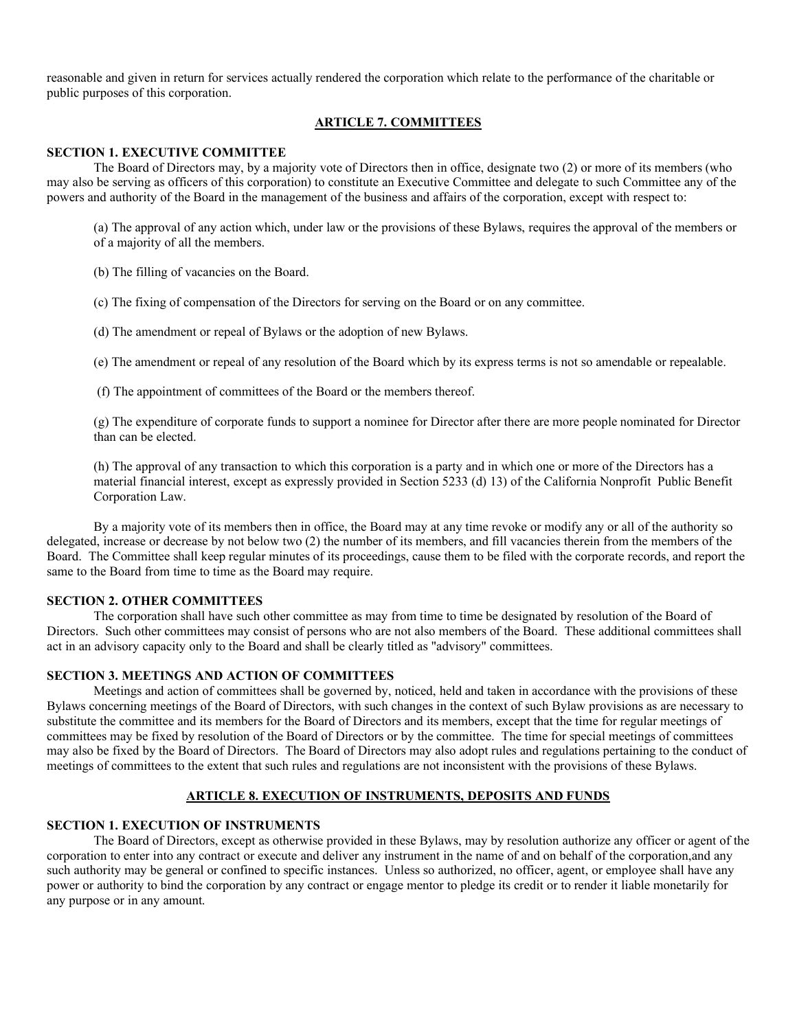reasonable and given in return for services actually rendered the corporation which relate to the performance of the charitable or public purposes of this corporation.

### **ARTICLE 7. COMMITTEES**

#### **SECTION 1. EXECUTIVE COMMITTEE**

The Board of Directors may, by a majority vote of Directors then in office, designate two (2) or more of its members (who may also be serving as officers of this corporation) to constitute an Executive Committee and delegate to such Committee any of the powers and authority of the Board in the management of the business and affairs of the corporation, except with respect to:

(a) The approval of any action which, under law or the provisions of these Bylaws, requires the approval of the members or of a majority of all the members.

(b) The filling of vacancies on the Board.

(c) The fixing of compensation of the Directors for serving on the Board or on any committee.

(d) The amendment or repeal of Bylaws or the adoption of new Bylaws.

(e) The amendment or repeal of any resolution of the Board which by its express terms is not so amendable or repealable.

(f) The appointment of committees of the Board or the members thereof.

(g) The expenditure of corporate funds to support a nominee for Director after there are more people nominated for Director than can be elected.

(h) The approval of any transaction to which this corporation is a party and in which one or more of the Directors has a material financial interest, except as expressly provided in Section 5233 (d) 13) of the California Nonprofit Public Benefit Corporation Law.

By a majority vote of its members then in office, the Board may at any time revoke or modify any or all of the authority so delegated, increase or decrease by not below two (2) the number of its members, and fill vacancies therein from the members of the Board. The Committee shall keep regular minutes of its proceedings, cause them to be filed with the corporate records, and report the same to the Board from time to time as the Board may require.

## **SECTION 2. OTHER COMMITTEES**

The corporation shall have such other committee as may from time to time be designated by resolution of the Board of Directors. Such other committees may consist of persons who are not also members of the Board. These additional committees shall act in an advisory capacity only to the Board and shall be clearly titled as "advisory" committees.

## **SECTION 3. MEETINGS AND ACTION OF COMMITTEES**

Meetings and action of committees shall be governed by, noticed, held and taken in accordance with the provisions of these Bylaws concerning meetings of the Board of Directors, with such changes in the context of such Bylaw provisions as are necessary to substitute the committee and its members for the Board of Directors and its members, except that the time for regular meetings of committees may be fixed by resolution of the Board of Directors or by the committee. The time for special meetings of committees may also be fixed by the Board of Directors. The Board of Directors may also adopt rules and regulations pertaining to the conduct of meetings of committees to the extent that such rules and regulations are not inconsistent with the provisions of these Bylaws.

## **ARTICLE 8. EXECUTION OF INSTRUMENTS, DEPOSITS AND FUNDS**

## **SECTION 1. EXECUTION OF INSTRUMENTS**

The Board of Directors, except as otherwise provided in these Bylaws, may by resolution authorize any officer or agent of the corporation to enter into any contract or execute and deliver any instrument in the name of and on behalf of the corporation,and any such authority may be general or confined to specific instances. Unless so authorized, no officer, agent, or employee shall have any power or authority to bind the corporation by any contract or engage mentor to pledge its credit or to render it liable monetarily for any purpose or in any amount.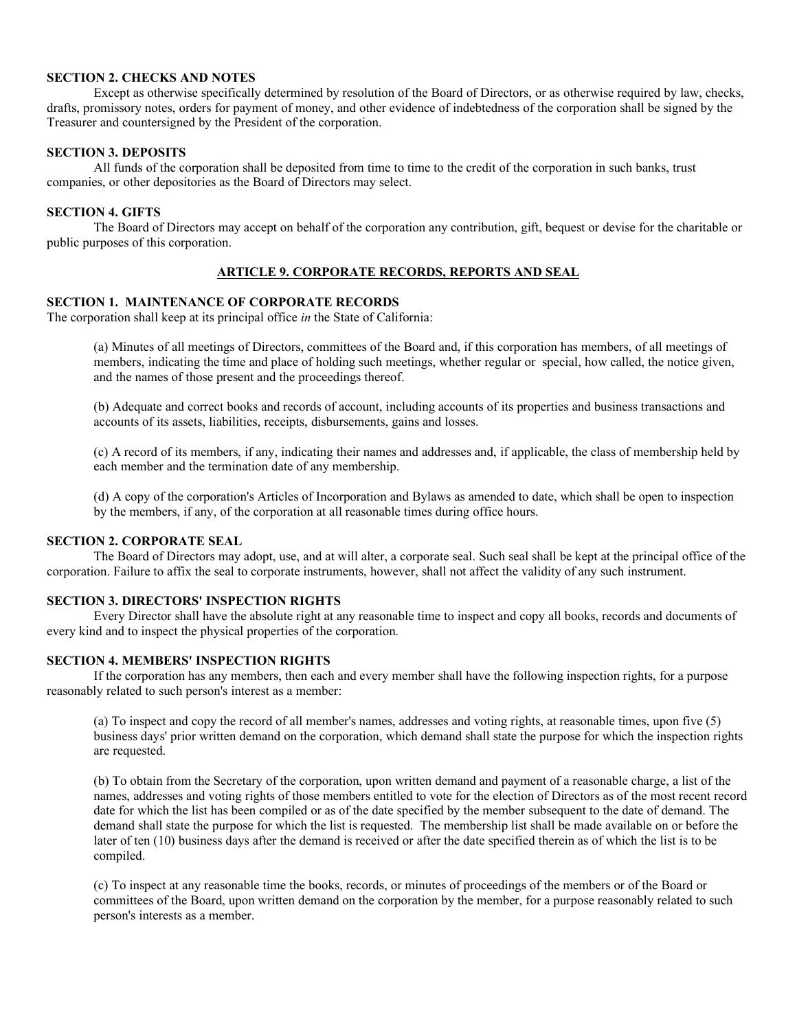### **SECTION 2. CHECKS AND NOTES**

Except as otherwise specifically determined by resolution of the Board of Directors, or as otherwise required by law, checks, drafts, promissory notes, orders for payment of money, and other evidence of indebtedness of the corporation shall be signed by the Treasurer and countersigned by the President of the corporation.

## **SECTION 3. DEPOSITS**

All funds of the corporation shall be deposited from time to time to the credit of the corporation in such banks, trust companies, or other depositories as the Board of Directors may select.

### **SECTION 4. GIFTS**

The Board of Directors may accept on behalf of the corporation any contribution, gift, bequest or devise for the charitable or public purposes of this corporation.

## **ARTICLE 9. CORPORATE RECORDS, REPORTS AND SEAL**

## **SECTION 1. MAINTENANCE OF CORPORATE RECORDS**

The corporation shall keep at its principal office *in* the State of California:

(a) Minutes of all meetings of Directors, committees of the Board and, if this corporation has members, of all meetings of members, indicating the time and place of holding such meetings, whether regular or special, how called, the notice given, and the names of those present and the proceedings thereof.

(b) Adequate and correct books and records of account, including accounts of its properties and business transactions and accounts of its assets, liabilities, receipts, disbursements, gains and losses.

(c) A record of its members, if any, indicating their names and addresses and, if applicable, the class of membership held by each member and the termination date of any membership.

(d) A copy of the corporation's Articles of Incorporation and Bylaws as amended to date, which shall be open to inspection by the members, if any, of the corporation at all reasonable times during office hours.

#### **SECTION 2. CORPORATE SEAL**

The Board of Directors may adopt, use, and at will alter, a corporate seal. Such seal shall be kept at the principal office of the corporation. Failure to affix the seal to corporate instruments, however, shall not affect the validity of any such instrument.

## **SECTION 3. DIRECTORS' INSPECTION RIGHTS**

Every Director shall have the absolute right at any reasonable time to inspect and copy all books, records and documents of every kind and to inspect the physical properties of the corporation.

### **SECTION 4. MEMBERS' INSPECTION RIGHTS**

If the corporation has any members, then each and every member shall have the following inspection rights, for a purpose reasonably related to such person's interest as a member:

(a) To inspect and copy the record of all member's names, addresses and voting rights, at reasonable times, upon five (5) business days' prior written demand on the corporation, which demand shall state the purpose for which the inspection rights are requested.

(b) To obtain from the Secretary of the corporation, upon written demand and payment of a reasonable charge, a list of the names, addresses and voting rights of those members entitled to vote for the election of Directors as of the most recent record date for which the list has been compiled or as of the date specified by the member subsequent to the date of demand. The demand shall state the purpose for which the list is requested. The membership list shall be made available on or before the later of ten (10) business days after the demand is received or after the date specified therein as of which the list is to be compiled.

(c) To inspect at any reasonable time the books, records, or minutes of proceedings of the members or of the Board or committees of the Board, upon written demand on the corporation by the member, for a purpose reasonably related to such person's interests as a member.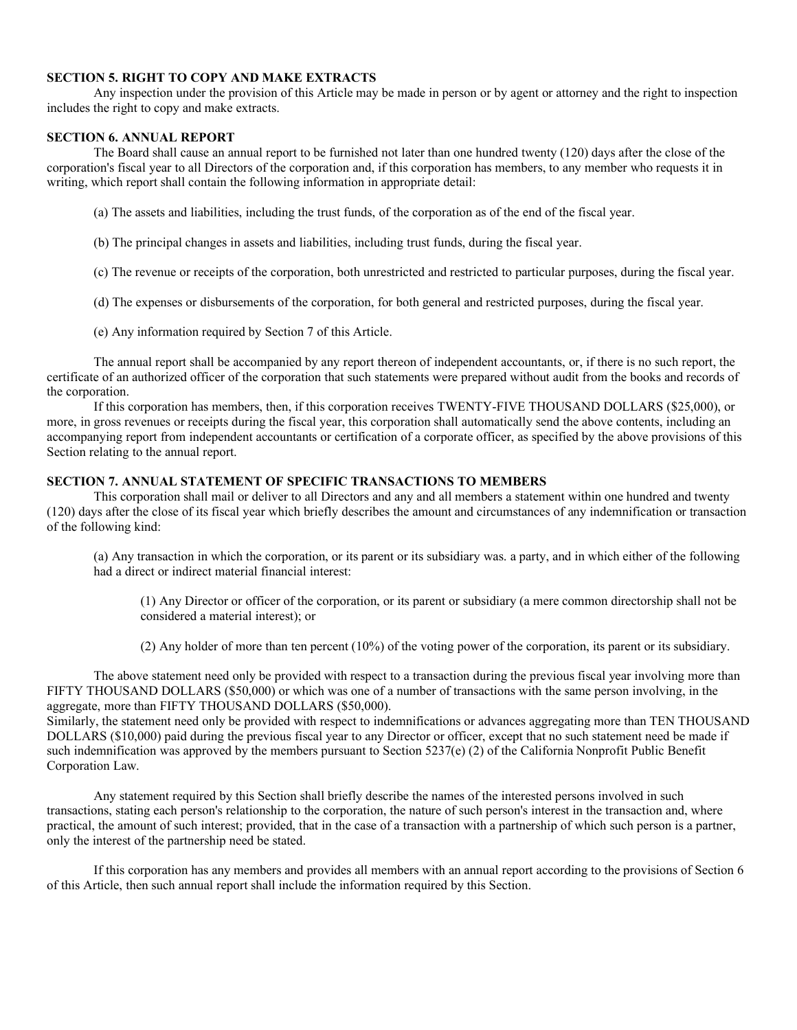# **SECTION 5. RIGHT TO COPY AND MAKE EXTRACTS**

Any inspection under the provision of this Article may be made in person or by agent or attorney and the right to inspection includes the right to copy and make extracts.

### **SECTION 6. ANNUAL REPORT**

The Board shall cause an annual report to be furnished not later than one hundred twenty (120) days after the close of the corporation's fiscal year to all Directors of the corporation and, if this corporation has members, to any member who requests it in writing, which report shall contain the following information in appropriate detail:

(a) The assets and liabilities, including the trust funds, of the corporation as of the end of the fiscal year.

(b) The principal changes in assets and liabilities, including trust funds, during the fiscal year.

(c) The revenue or receipts of the corporation, both unrestricted and restricted to particular purposes, during the fiscal year.

(d) The expenses or disbursements of the corporation, for both general and restricted purposes, during the fiscal year.

(e) Any information required by Section 7 of this Article.

The annual report shall be accompanied by any report thereon of independent accountants, or, if there is no such report, the certificate of an authorized officer of the corporation that such statements were prepared without audit from the books and records of the corporation.

If this corporation has members, then, if this corporation receives TWENTY-FIVE THOUSAND DOLLARS (\$25,000), or more, in gross revenues or receipts during the fiscal year, this corporation shall automatically send the above contents, including an accompanying report from independent accountants or certification of a corporate officer, as specified by the above provisions of this Section relating to the annual report.

### **SECTION 7. ANNUAL STATEMENT OF SPECIFIC TRANSACTIONS TO MEMBERS**

This corporation shall mail or deliver to all Directors and any and all members a statement within one hundred and twenty (120) days after the close of its fiscal year which briefly describes the amount and circumstances of any indemnification or transaction of the following kind:

(a) Any transaction in which the corporation, or its parent or its subsidiary was. a party, and in which either of the following had a direct or indirect material financial interest:

(1) Any Director or officer of the corporation, or its parent or subsidiary (a mere common directorship shall not be considered a material interest); or

(2) Any holder of more than ten percent (10%) of the voting power of the corporation, its parent or its subsidiary.

The above statement need only be provided with respect to a transaction during the previous fiscal year involving more than FIFTY THOUSAND DOLLARS (\$50,000) or which was one of a number of transactions with the same person involving, in the aggregate, more than FIFTY THOUSAND DOLLARS (\$50,000).

Similarly, the statement need only be provided with respect to indemnifications or advances aggregating more than TEN THOUSAND DOLLARS (\$10,000) paid during the previous fiscal year to any Director or officer, except that no such statement need be made if such indemnification was approved by the members pursuant to Section 5237(e) (2) of the California Nonprofit Public Benefit Corporation Law.

Any statement required by this Section shall briefly describe the names of the interested persons involved in such transactions, stating each person's relationship to the corporation, the nature of such person's interest in the transaction and, where practical, the amount of such interest; provided, that in the case of a transaction with a partnership of which such person is a partner, only the interest of the partnership need be stated.

If this corporation has any members and provides all members with an annual report according to the provisions of Section 6 of this Article, then such annual report shall include the information required by this Section.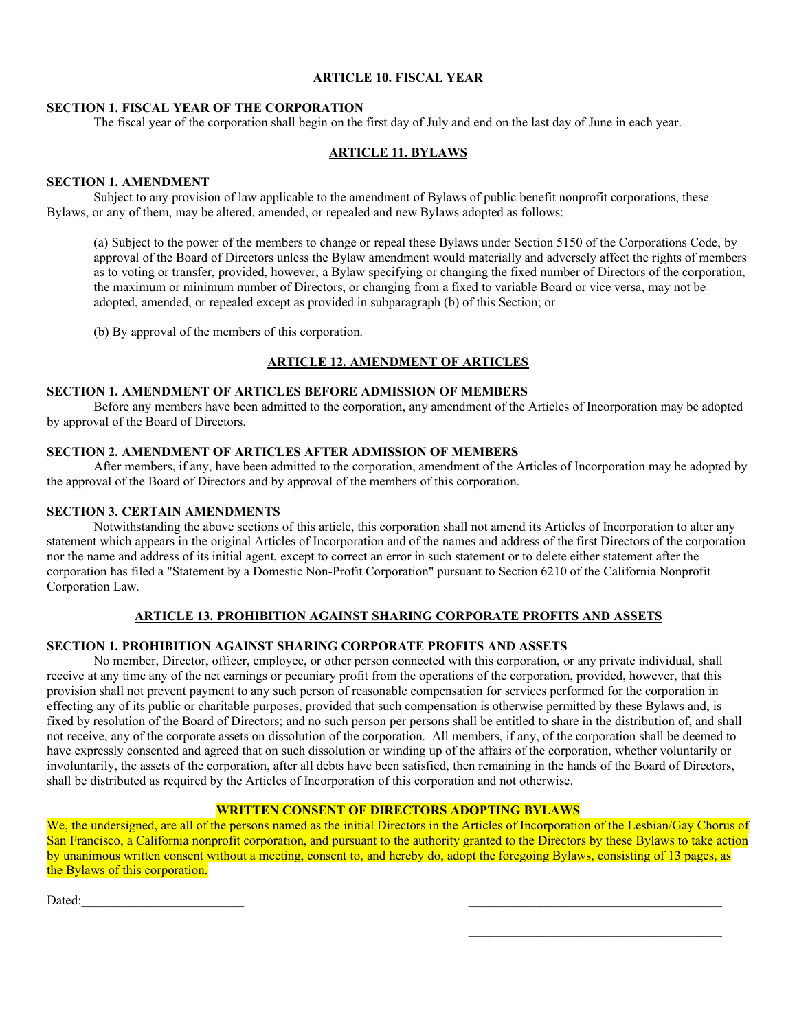# **ARTICLE 10. FISCAL YEAR**

## **SECTION 1. FISCAL YEAR OF THE CORPORATION**

The fiscal year of the corporation shall begin on the first day of July and end on the last day of June in each year.

## **ARTICLE 11. BYLAWS**

#### **SECTION 1. AMENDMENT**

Subject to any provision of law applicable to the amendment of Bylaws of public benefit nonprofit corporations, these Bylaws, or any of them, may be altered, amended, or repealed and new Bylaws adopted as follows:

(a) Subject to the power of the members to change or repeal these Bylaws under Section 5150 of the Corporations Code, by approval of the Board of Directors unless the Bylaw amendment would materially and adversely affect the rights of members as to voting or transfer, provided, however, a Bylaw specifying or changing the fixed number of Directors of the corporation, the maximum or minimum number of Directors, or changing from a fixed to variable Board or vice versa, may not be adopted, amended, or repealed except as provided in subparagraph (b) of this Section; or

(b) By approval of the members of this corporation.

## **ARTICLE 12. AMENDMENT OF ARTICLES**

## **SECTION 1. AMENDMENT OF ARTICLES BEFORE ADMISSION OF MEMBERS**

Before any members have been admitted to the corporation, any amendment of the Articles of Incorporation may be adopted by approval of the Board of Directors.

## **SECTION 2. AMENDMENT OF ARTICLES AFTER ADMISSION OF MEMBERS**

After members, if any, have been admitted to the corporation, amendment of the Articles of Incorporation may be adopted by the approval of the Board of Directors and by approval of the members of this corporation.

### **SECTION 3. CERTAIN AMENDMENTS**

Notwithstanding the above sections of this article, this corporation shall not amend its Articles of Incorporation to alter any statement which appears in the original Articles of Incorporation and of the names and address of the first Directors of the corporation nor the name and address of its initial agent, except to correct an error in such statement or to delete either statement after the corporation has filed a "Statement by a Domestic Non-Profit Corporation" pursuant to Section 6210 of the California Nonprofit Corporation Law.

## **ARTICLE 13. PROHIBITION AGAINST SHARING CORPORATE PROFITS AND ASSETS**

## **SECTION 1. PROHIBITION AGAINST SHARING CORPORATE PROFITS AND ASSETS**

No member, Director, officer, employee, or other person connected with this corporation, or any private individual, shall receive at any time any of the net earnings or pecuniary profit from the operations of the corporation, provided, however, that this provision shall not prevent payment to any such person of reasonable compensation for services performed for the corporation in effecting any of its public or charitable purposes, provided that such compensation is otherwise permitted by these Bylaws and, is fixed by resolution of the Board of Directors; and no such person per persons shall be entitled to share in the distribution of, and shall not receive, any of the corporate assets on dissolution of the corporation. All members, if any, of the corporation shall be deemed to have expressly consented and agreed that on such dissolution or winding up of the affairs of the corporation, whether voluntarily or involuntarily, the assets of the corporation, after all debts have been satisfied, then remaining in the hands of the Board of Directors, shall be distributed as required by the Articles of Incorporation of this corporation and not otherwise.

### **WRITTEN CONSENT OF DIRECTORS ADOPTING BYLAWS**

We, the undersigned, are all of the persons named as the initial Directors in the Articles of Incorporation of the Lesbian/Gay Chorus of San Francisco, a California nonprofit corporation, and pursuant to the authority granted to the Directors by these Bylaws to take action by unanimous written consent without a meeting, consent to, and hereby do, adopt the foregoing Bylaws, consisting of 13 pages, as the Bylaws of this corporation.

 $\mathcal{L}_\text{max}$  and  $\mathcal{L}_\text{max}$  and  $\mathcal{L}_\text{max}$  and  $\mathcal{L}_\text{max}$ 

Dated: